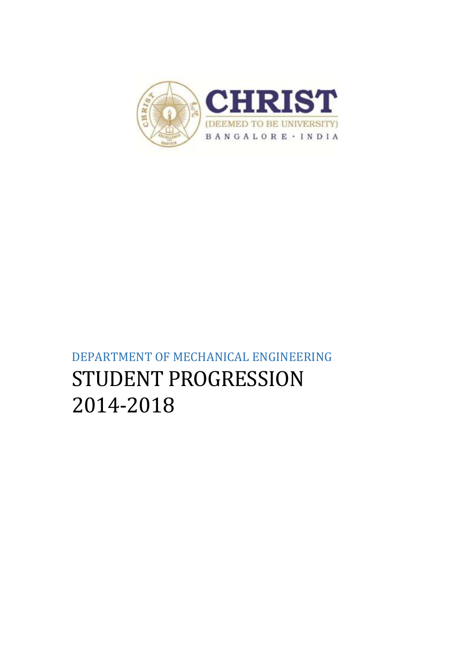

# DEPARTMENT OF MECHANICAL ENGINEERING STUDENT PROGRESSION 2014-2018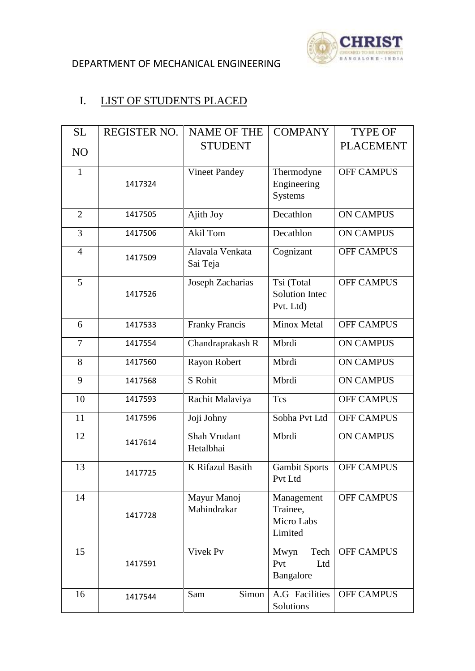

# I. LIST OF STUDENTS PLACED

| <b>SL</b>      | <b>REGISTER NO.</b> | <b>NAME OF THE</b>          | <b>COMPANY</b>                  | <b>TYPE OF</b>    |
|----------------|---------------------|-----------------------------|---------------------------------|-------------------|
| N <sub>O</sub> |                     | <b>STUDENT</b>              |                                 | <b>PLACEMENT</b>  |
|                |                     |                             |                                 |                   |
| $\mathbf{1}$   |                     | <b>Vineet Pandey</b>        | Thermodyne                      | <b>OFF CAMPUS</b> |
|                | 1417324             |                             | Engineering                     |                   |
|                |                     |                             | <b>Systems</b>                  |                   |
| $\overline{2}$ | 1417505             | Ajith Joy                   | Decathlon                       | <b>ON CAMPUS</b>  |
| 3              | 1417506             | Akil Tom                    | Decathlon                       | <b>ON CAMPUS</b>  |
| $\overline{4}$ | 1417509             | Alavala Venkata<br>Sai Teja | Cognizant                       | <b>OFF CAMPUS</b> |
| 5              |                     | Joseph Zacharias            | Tsi (Total                      | <b>OFF CAMPUS</b> |
|                | 1417526             |                             | <b>Solution Intec</b>           |                   |
|                |                     |                             | Pvt. Ltd)                       |                   |
| 6              | 1417533             | <b>Franky Francis</b>       | Minox Metal                     | <b>OFF CAMPUS</b> |
| 7              | 1417554             | Chandraprakash R            | Mbrdi                           | <b>ON CAMPUS</b>  |
| 8              | 1417560             | Rayon Robert                | Mbrdi                           | <b>ON CAMPUS</b>  |
| 9              | 1417568             | S Rohit                     | Mbrdi                           | <b>ON CAMPUS</b>  |
| 10             | 1417593             | Rachit Malaviya             | <b>Tcs</b>                      | <b>OFF CAMPUS</b> |
| 11             | 1417596             | Joji Johny                  | Sobha Pvt Ltd                   | <b>OFF CAMPUS</b> |
| 12             | 1417614             | Shah Vrudant<br>Hetalbhai   | Mbrdi                           | <b>ON CAMPUS</b>  |
| 13             | 1417725             | K Rifazul Basith            | <b>Gambit Sports</b><br>Pvt Ltd | <b>OFF CAMPUS</b> |
| 14             |                     | Mayur Manoj                 | Management                      | <b>OFF CAMPUS</b> |
|                | 1417728             | Mahindrakar                 | Trainee,                        |                   |
|                |                     |                             | Micro Labs<br>Limited           |                   |
|                |                     |                             |                                 |                   |
| 15             |                     | Vivek Pv                    | Tech<br>Mwyn                    | <b>OFF CAMPUS</b> |
|                | 1417591             |                             | Pvt<br>Ltd                      |                   |
|                |                     |                             | Bangalore                       |                   |
| 16             | 1417544             | Simon<br>Sam                | A.G Facilities<br>Solutions     | <b>OFF CAMPUS</b> |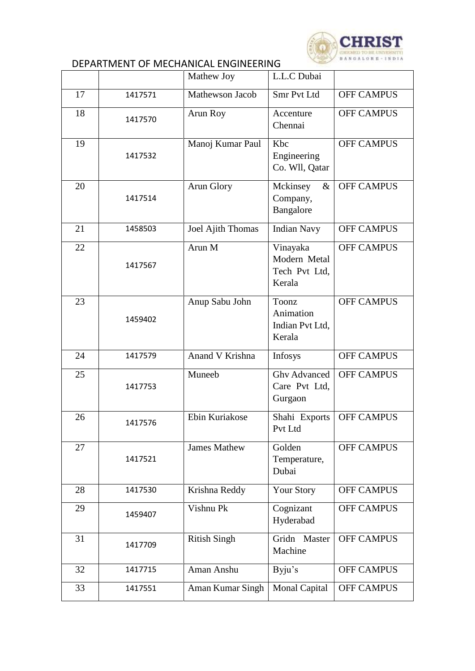

|    |         | Mathew Joy                                                    | L.L.C Dubai                                     |                   |
|----|---------|---------------------------------------------------------------|-------------------------------------------------|-------------------|
| 17 | 1417571 | Mathewson Jacob                                               | Smr Pvt Ltd                                     | <b>OFF CAMPUS</b> |
| 18 | 1417570 | Arun Roy                                                      | Accenture<br>Chennai                            | <b>OFF CAMPUS</b> |
| 19 | 1417532 | Manoj Kumar Paul                                              | Kbc<br>Engineering<br>Co. Wll, Qatar            |                   |
| 20 | 1417514 | Arun Glory                                                    | Mckinsey<br>$\&$<br>Company,<br>Bangalore       | <b>OFF CAMPUS</b> |
| 21 | 1458503 | Joel Ajith Thomas                                             | <b>Indian Navy</b>                              | <b>OFF CAMPUS</b> |
| 22 | 1417567 | Arun M<br>Vinayaka<br>Modern Metal<br>Tech Pvt Ltd,<br>Kerala |                                                 | <b>OFF CAMPUS</b> |
| 23 | 1459402 | Anup Sabu John                                                | Toonz<br>Animation<br>Indian Pvt Ltd,<br>Kerala | <b>OFF CAMPUS</b> |
| 24 | 1417579 | Anand V Krishna                                               | <b>Infosys</b>                                  | <b>OFF CAMPUS</b> |
| 25 | 1417753 | Muneeb                                                        | <b>Ghv Advanced</b><br>Care Pvt Ltd,<br>Gurgaon | <b>OFF CAMPUS</b> |
| 26 | 1417576 | Ebin Kuriakose                                                | Shahi Exports<br>Pvt Ltd                        | <b>OFF CAMPUS</b> |
| 27 | 1417521 | <b>James Mathew</b>                                           | Golden<br>Temperature,<br>Dubai                 | <b>OFF CAMPUS</b> |
| 28 | 1417530 | Krishna Reddy                                                 | <b>Your Story</b>                               | <b>OFF CAMPUS</b> |
| 29 | 1459407 | Vishnu Pk                                                     | Cognizant<br>Hyderabad                          | <b>OFF CAMPUS</b> |
| 31 | 1417709 | <b>Ritish Singh</b>                                           | Gridn Master<br>Machine                         | <b>OFF CAMPUS</b> |
| 32 | 1417715 | Aman Anshu                                                    | Byju's                                          | <b>OFF CAMPUS</b> |
| 33 | 1417551 | Aman Kumar Singh                                              | <b>Monal Capital</b>                            | <b>OFF CAMPUS</b> |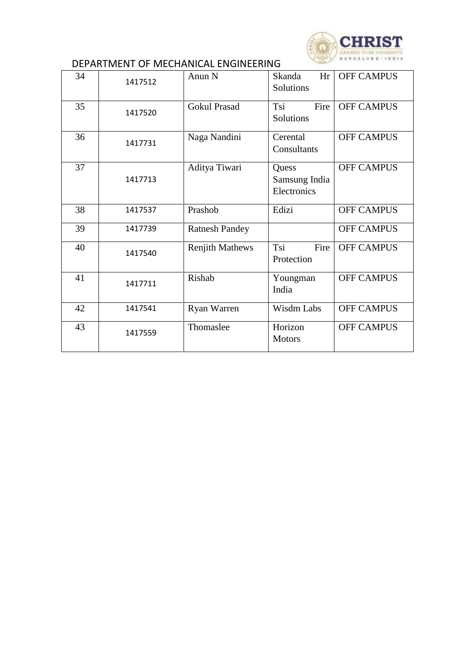

| 34 | 1417512 | Anun N                 | Hr<br>Skanda<br>Solutions             | <b>OFF CAMPUS</b> |
|----|---------|------------------------|---------------------------------------|-------------------|
| 35 | 1417520 | <b>Gokul Prasad</b>    | Tsi<br>Fire<br>Solutions              | <b>OFF CAMPUS</b> |
| 36 | 1417731 | Naga Nandini           | Cerental<br>Consultants               | <b>OFF CAMPUS</b> |
| 37 | 1417713 | Aditya Tiwari          | Quess<br>Samsung India<br>Electronics | <b>OFF CAMPUS</b> |
| 38 | 1417537 | Prashob                | Edizi                                 | <b>OFF CAMPUS</b> |
| 39 | 1417739 | <b>Ratnesh Pandey</b>  |                                       | <b>OFF CAMPUS</b> |
| 40 | 1417540 | <b>Renjith Mathews</b> | Tsi<br>Fire<br>Protection             | <b>OFF CAMPUS</b> |
| 41 | 1417711 | Rishab                 | Youngman<br>India                     | <b>OFF CAMPUS</b> |
| 42 | 1417541 | <b>Ryan Warren</b>     | Wisdm Labs                            | <b>OFF CAMPUS</b> |
| 43 | 1417559 | Thomaslee              | Horizon<br><b>Motors</b>              | <b>OFF CAMPUS</b> |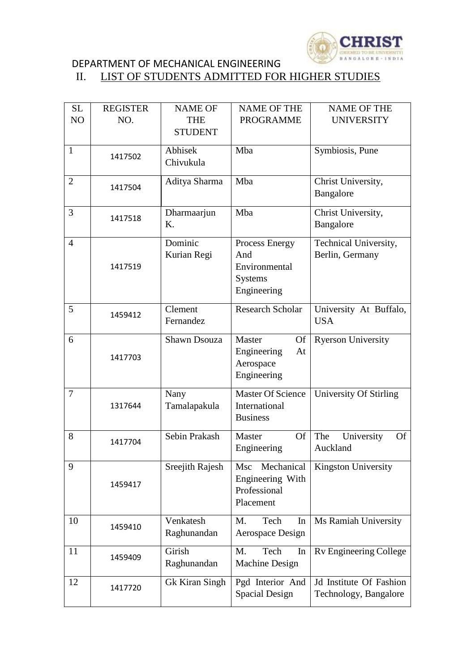

#### DEPARTMENT OF MECHANICAL ENGINEERING<br>II. LIST OF STUDENTS ADMITTED FOI LIST OF STUDENTS ADMITTED FOR HIGHER STUDIES

| <b>SL</b>                | <b>REGISTER</b> | <b>NAME OF</b>        | <b>NAME OF THE</b>        | <b>NAME OF THE</b>             |
|--------------------------|-----------------|-----------------------|---------------------------|--------------------------------|
| N <sub>O</sub>           | NO.             | <b>THE</b>            | <b>PROGRAMME</b>          | <b>UNIVERSITY</b>              |
|                          |                 | <b>STUDENT</b>        |                           |                                |
| $\mathbf{1}$             |                 | Abhisek               | Mba                       | Symbiosis, Pune                |
|                          | 1417502         | Chivukula             |                           |                                |
| $\overline{2}$           |                 | Aditya Sharma         | Mba                       | Christ University,             |
|                          | 1417504         |                       |                           | Bangalore                      |
|                          |                 |                       |                           |                                |
| 3                        | 1417518         | Dharmaarjun           | Mba                       | Christ University,             |
|                          |                 | Κ.                    |                           | Bangalore                      |
| $\overline{4}$           |                 | Dominic               | Process Energy            | Technical University,          |
|                          |                 | Kurian Regi           | And                       | Berlin, Germany                |
|                          | 1417519         |                       | Environmental             |                                |
|                          |                 |                       | <b>Systems</b>            |                                |
|                          |                 |                       | Engineering               |                                |
| 5                        | 1459412         | Clement               | <b>Research Scholar</b>   | University At Buffalo,         |
|                          |                 | Fernandez             |                           | <b>USA</b>                     |
| 6                        |                 | <b>Shawn Dsouza</b>   | Master<br><b>Of</b>       | <b>Ryerson University</b>      |
|                          |                 |                       | Engineering<br>At         |                                |
|                          | 1417703         |                       | Aerospace                 |                                |
|                          |                 |                       | Engineering               |                                |
| $\overline{\mathcal{L}}$ |                 | Nany                  | <b>Master Of Science</b>  | University Of Stirling         |
|                          | 1317644         | Tamalapakula          | International             |                                |
|                          |                 |                       | <b>Business</b>           |                                |
| 8                        |                 | Sebin Prakash         | <b>Of</b><br>Master       | The<br><b>Of</b>               |
|                          | 1417704         |                       | Engineering               | University<br>Auckland         |
|                          |                 |                       |                           |                                |
| 9                        |                 | Sreejith Rajesh       | Mechanical<br>Msc         | <b>Kingston University</b>     |
|                          | 1459417         |                       | Engineering With          |                                |
|                          |                 |                       | Professional<br>Placement |                                |
|                          |                 |                       |                           |                                |
| 10                       | 1459410         | Venkatesh             | M.<br>Tech<br>In          | Ms Ramiah University           |
|                          |                 | Raghunandan           | Aerospace Design          |                                |
| 11                       |                 | Girish                | Tech<br>M.<br>In          | Rv Engineering College         |
|                          | 1459409         | Raghunandan           | Machine Design            |                                |
| 12                       |                 | <b>Gk Kiran Singh</b> | Pgd Interior And          | <b>Jd</b> Institute Of Fashion |
|                          | 1417720         |                       | Spacial Design            | Technology, Bangalore          |
|                          |                 |                       |                           |                                |